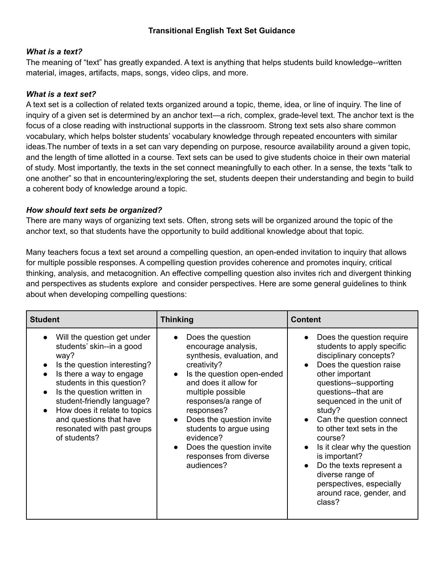# *What is a text?*

The meaning of "text" has greatly expanded. A text is anything that helps students build knowledge--written material, images, artifacts, maps, songs, video clips, and more.

## *What is a text set?*

A text set is a collection of related texts organized around a topic, theme, idea, or line of inquiry. The line of inquiry of a given set is determined by an anchor text—a rich, complex, grade-level text. The anchor text is the focus of a close reading with instructional supports in the classroom. Strong text sets also share common vocabulary, which helps bolster students' vocabulary knowledge through repeated encounters with similar ideas.The number of texts in a set can vary depending on purpose, resource availability around a given topic, and the length of time allotted in a course. Text sets can be used to give students choice in their own material of study. Most importantly, the texts in the set connect meaningfully to each other. In a sense, the texts "talk to one another" so that in encountering/exploring the set, students deepen their understanding and begin to build a coherent body of knowledge around a topic.

## *How should text sets be organized?*

There are many ways of organizing text sets. Often, strong sets will be organized around the topic of the anchor text, so that students have the opportunity to build additional knowledge about that topic.

Many teachers focus a text set around a compelling question, an open-ended invitation to inquiry that allows for multiple possible responses. A compelling question provides coherence and promotes inquiry, critical thinking, analysis, and metacognition. An effective compelling question also invites rich and divergent thinking and perspectives as students explore and consider perspectives. Here are some general guidelines to think about when developing compelling questions:

| <b>Student</b>                                                                                                                                                                                                                                                                                                                  | <b>Thinking</b>                                                                                                                                                                                                                                                                                                                                 | <b>Content</b>                                                                                                                                                                                                                                                                                                                                                                                                                                               |
|---------------------------------------------------------------------------------------------------------------------------------------------------------------------------------------------------------------------------------------------------------------------------------------------------------------------------------|-------------------------------------------------------------------------------------------------------------------------------------------------------------------------------------------------------------------------------------------------------------------------------------------------------------------------------------------------|--------------------------------------------------------------------------------------------------------------------------------------------------------------------------------------------------------------------------------------------------------------------------------------------------------------------------------------------------------------------------------------------------------------------------------------------------------------|
| Will the question get under<br>students' skin--in a good<br>way?<br>Is the question interesting?<br>Is there a way to engage<br>students in this question?<br>Is the question written in<br>student-friendly language?<br>How does it relate to topics<br>and questions that have<br>resonated with past groups<br>of students? | Does the question<br>encourage analysis,<br>synthesis, evaluation, and<br>creativity?<br>Is the question open-ended<br>and does it allow for<br>multiple possible<br>responses/a range of<br>responses?<br>Does the question invite<br>students to argue using<br>evidence?<br>Does the question invite<br>responses from diverse<br>audiences? | Does the question require<br>students to apply specific<br>disciplinary concepts?<br>Does the question raise<br>other important<br>questions--supporting<br>questions--that are<br>sequenced in the unit of<br>study?<br>Can the question connect<br>to other text sets in the<br>course?<br>Is it clear why the question<br>is important?<br>Do the texts represent a<br>diverse range of<br>perspectives, especially<br>around race, gender, and<br>class? |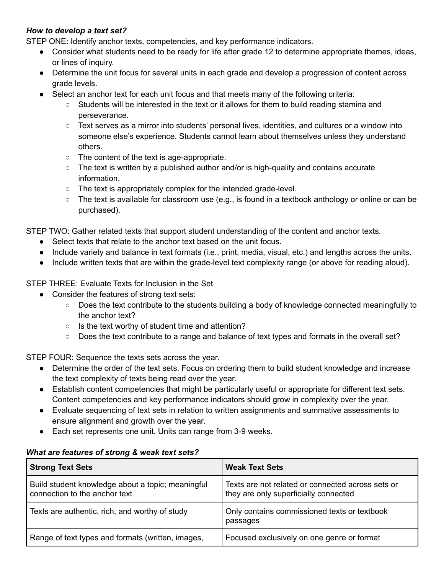# *How to develop a text set?*

STEP ONE: Identify anchor texts, competencies, and key performance indicators.

- Consider what students need to be ready for life after grade 12 to determine appropriate themes, ideas, or lines of inquiry.
- Determine the unit focus for several units in each grade and develop a progression of content across grade levels.
- Select an anchor text for each unit focus and that meets many of the following criteria:
	- Students will be interested in the text or it allows for them to build reading stamina and perseverance.
	- Text serves as a mirror into students' personal lives, identities, and cultures or a window into someone else's experience. Students cannot learn about themselves unless they understand others.
	- The content of the text is age-appropriate.
	- $\circ$  The text is written by a published author and/or is high-quality and contains accurate information.
	- The text is appropriately complex for the intended grade-level.
	- The text is available for classroom use (e.g., is found in a textbook anthology or online or can be purchased).

STEP TWO: Gather related texts that support student understanding of the content and anchor texts.

- Select texts that relate to the anchor text based on the unit focus.
- Include variety and balance in text formats (i.e., print, media, visual, etc.) and lengths across the units.
- Include written texts that are within the grade-level text complexity range (or above for reading aloud).

STEP THREE: Evaluate Texts for Inclusion in the Set

- Consider the features of strong text sets:
	- Does the text contribute to the students building a body of knowledge connected meaningfully to the anchor text?
	- Is the text worthy of student time and attention?
	- Does the text contribute to a range and balance of text types and formats in the overall set?

STEP FOUR: Sequence the texts sets across the year.

- Determine the order of the text sets. Focus on ordering them to build student knowledge and increase the text complexity of texts being read over the year.
- Establish content competencies that might be particularly useful or appropriate for different text sets. Content competencies and key performance indicators should grow in complexity over the year.
- Evaluate sequencing of text sets in relation to written assignments and summative assessments to ensure alignment and growth over the year.
- Each set represents one unit. Units can range from 3-9 weeks.

### *What are features of strong & weak text sets?*

| <b>Strong Text Sets</b>                                                            | <b>Weak Text Sets</b>                                                                      |
|------------------------------------------------------------------------------------|--------------------------------------------------------------------------------------------|
| Build student knowledge about a topic; meaningful<br>connection to the anchor text | Texts are not related or connected across sets or<br>they are only superficially connected |
| Texts are authentic, rich, and worthy of study                                     | Only contains commissioned texts or textbook<br>passages                                   |
| Range of text types and formats (written, images,                                  | Focused exclusively on one genre or format                                                 |